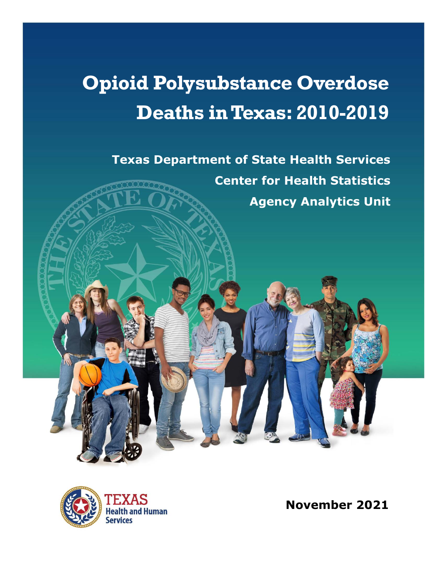# **Opioid Polysubstance Overdose Deaths in Texas: 2010-2019**

**Texas Department of State Health Services Center for Health Statistics Agency Analytics Unit**



**November 2021**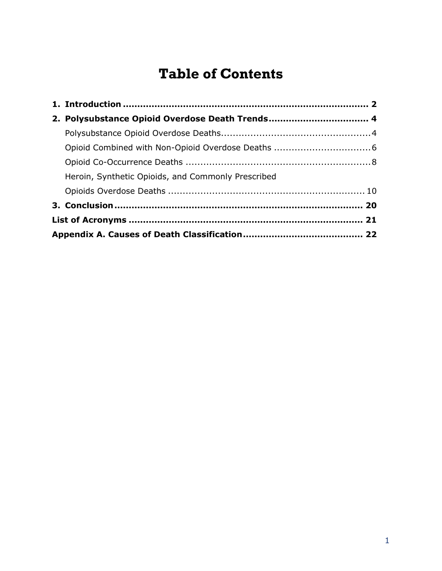# **Table of Contents**

| 2. Polysubstance Opioid Overdose Death Trends 4    |  |  |  |
|----------------------------------------------------|--|--|--|
|                                                    |  |  |  |
|                                                    |  |  |  |
|                                                    |  |  |  |
| Heroin, Synthetic Opioids, and Commonly Prescribed |  |  |  |
|                                                    |  |  |  |
|                                                    |  |  |  |
|                                                    |  |  |  |
|                                                    |  |  |  |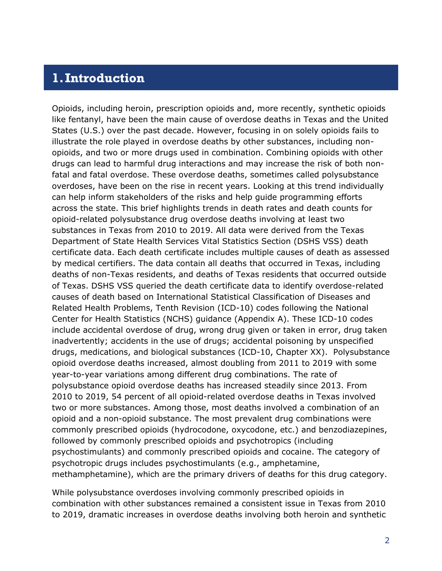#### <span id="page-2-0"></span>**1.Introduction**

Opioids, including heroin, prescription opioids and, more recently, synthetic opioids like fentanyl, have been the main cause of overdose deaths in Texas and the United States (U.S.) over the past decade. However, focusing in on solely opioids fails to illustrate the role played in overdose deaths by other substances, including nonopioids, and two or more drugs used in combination. Combining opioids with other drugs can lead to harmful drug interactions and may increase the risk of both nonfatal and fatal overdose. These overdose deaths, sometimes called polysubstance overdoses, have been on the rise in recent years. Looking at this trend individually can help inform stakeholders of the risks and help guide programming efforts across the state. This brief highlights trends in death rates and death counts for opioid-related polysubstance drug overdose deaths involving at least two substances in Texas from 2010 to 2019. All data were derived from the Texas Department of State Health Services Vital Statistics Section (DSHS VSS) death certificate data. Each death certificate includes multiple causes of death as assessed by medical certifiers. The data contain all deaths that occurred in Texas, including deaths of non-Texas residents, and deaths of Texas residents that occurred outside of Texas. DSHS VSS queried the death certificate data to identify overdose-related causes of death based on International Statistical Classification of Diseases and Related Health Problems, Tenth Revision (ICD-10) codes following the National Center for Health Statistics (NCHS) guidance (Appendix A). These ICD-10 codes include accidental overdose of drug, wrong drug given or taken in error, drug taken inadvertently; accidents in the use of drugs; accidental poisoning by unspecified drugs, medications, and biological substances (ICD-10, Chapter XX). Polysubstance opioid overdose deaths increased, almost doubling from 2011 to 2019 with some year-to-year variations among different drug combinations. The rate of polysubstance opioid overdose deaths has increased steadily since 2013. From 2010 to 2019, 54 percent of all opioid-related overdose deaths in Texas involved two or more substances. Among those, most deaths involved a combination of an opioid and a non-opioid substance. The most prevalent drug combinations were commonly prescribed opioids (hydrocodone, oxycodone, etc.) and benzodiazepines, followed by commonly prescribed opioids and psychotropics (including psychostimulants) and commonly prescribed opioids and cocaine. The category of psychotropic drugs includes psychostimulants (e.g., amphetamine, methamphetamine), which are the primary drivers of deaths for this drug category.

While polysubstance overdoses involving commonly prescribed opioids in combination with other substances remained a consistent issue in Texas from 2010 to 2019, dramatic increases in overdose deaths involving both heroin and synthetic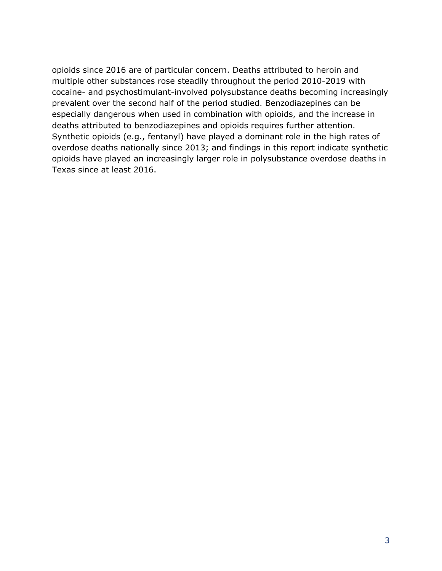opioids since 2016 are of particular concern. Deaths attributed to heroin and multiple other substances rose steadily throughout the period 2010-2019 with cocaine- and psychostimulant-involved polysubstance deaths becoming increasingly prevalent over the second half of the period studied. Benzodiazepines can be especially dangerous when used in combination with opioids, and the increase in deaths attributed to benzodiazepines and opioids requires further attention. Synthetic opioids (e.g., fentanyl) have played a dominant role in the high rates of overdose deaths nationally since 2013; and findings in this report indicate synthetic opioids have played an increasingly larger role in polysubstance overdose deaths in Texas since at least 2016.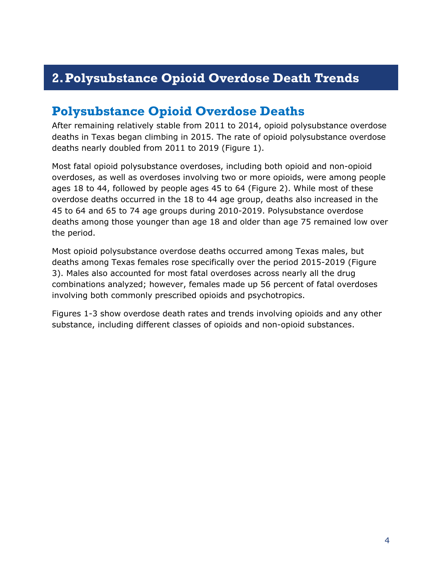# <span id="page-4-0"></span>**2.Polysubstance Opioid Overdose Death Trends**

#### <span id="page-4-1"></span>**Polysubstance Opioid Overdose Deaths**

After remaining relatively stable from 2011 to 2014, opioid polysubstance overdose deaths in Texas began climbing in 2015. The rate of opioid polysubstance overdose deaths nearly doubled from 2011 to 2019 (Figure 1).

Most fatal opioid polysubstance overdoses, including both opioid and non-opioid overdoses, as well as overdoses involving two or more opioids, were among people ages 18 to 44, followed by people ages 45 to 64 (Figure 2). While most of these overdose deaths occurred in the 18 to 44 age group, deaths also increased in the 45 to 64 and 65 to 74 age groups during 2010-2019. Polysubstance overdose deaths among those younger than age 18 and older than age 75 remained low over the period.

Most opioid polysubstance overdose deaths occurred among Texas males, but deaths among Texas females rose specifically over the period 2015-2019 (Figure 3). Males also accounted for most fatal overdoses across nearly all the drug combinations analyzed; however, females made up 56 percent of fatal overdoses involving both commonly prescribed opioids and psychotropics.

Figures 1-3 show overdose death rates and trends involving opioids and any other substance, including different classes of opioids and non-opioid substances.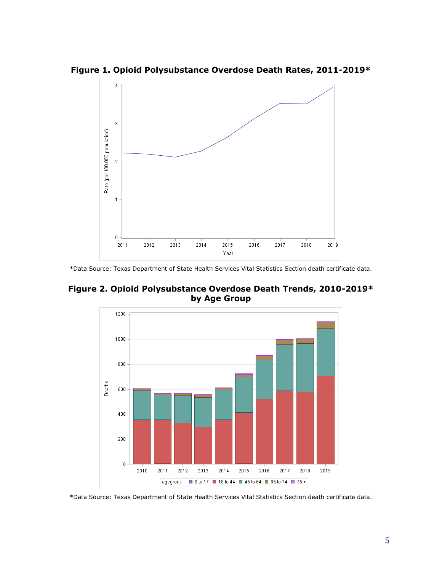

**Figure 1. Opioid Polysubstance Overdose Death Rates, 2011-2019\***

**Figure 2. Opioid Polysubstance Overdose Death Trends, 2010-2019\* by Age Group**

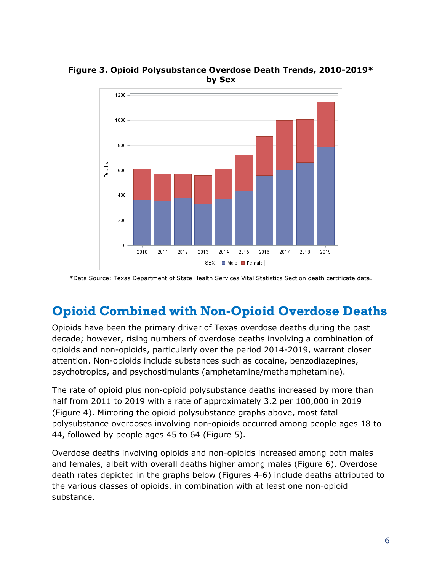

**Figure 3. Opioid Polysubstance Overdose Death Trends, 2010-2019\* by Sex**

### <span id="page-6-0"></span>**Opioid Combined with Non-Opioid Overdose Deaths**

Opioids have been the primary driver of Texas overdose deaths during the past decade; however, rising numbers of overdose deaths involving a combination of opioids and non-opioids, particularly over the period 2014-2019, warrant closer attention. Non-opioids include substances such as cocaine, benzodiazepines, psychotropics, and psychostimulants (amphetamine/methamphetamine).

The rate of opioid plus non-opioid polysubstance deaths increased by more than half from 2011 to 2019 with a rate of approximately 3.2 per 100,000 in 2019 (Figure 4). Mirroring the opioid polysubstance graphs above, most fatal polysubstance overdoses involving non-opioids occurred among people ages 18 to 44, followed by people ages 45 to 64 (Figure 5).

Overdose deaths involving opioids and non-opioids increased among both males and females, albeit with overall deaths higher among males (Figure 6). Overdose death rates depicted in the graphs below (Figures 4-6) include deaths attributed to the various classes of opioids, in combination with at least one non-opioid substance.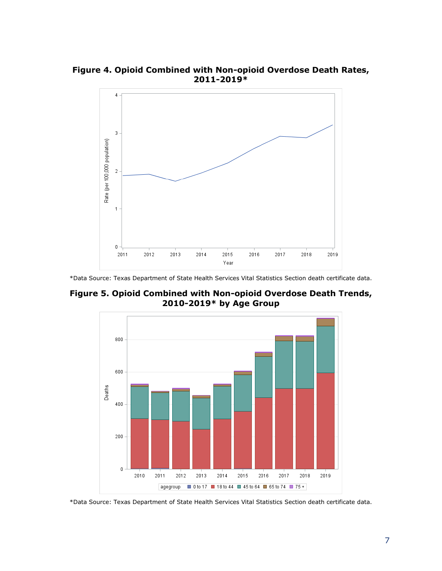**Figure 4. Opioid Combined with Non-opioid Overdose Death Rates, 2011-2019\***



**Figure 5. Opioid Combined with Non-opioid Overdose Death Trends, 2010-2019\* by Age Group**

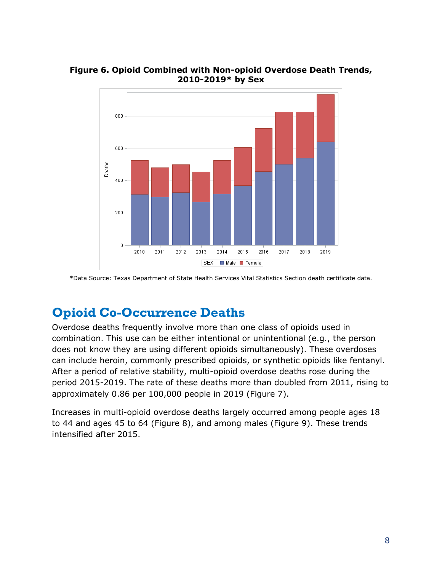

**Figure 6. Opioid Combined with Non-opioid Overdose Death Trends, 2010-2019\* by Sex**

### <span id="page-8-0"></span>**Opioid Co-Occurrence Deaths**

Overdose deaths frequently involve more than one class of opioids used in combination. This use can be either intentional or unintentional (e.g., the person does not know they are using different opioids simultaneously). These overdoses can include heroin, commonly prescribed opioids, or synthetic opioids like fentanyl. After a period of relative stability, multi-opioid overdose deaths rose during the period 2015-2019. The rate of these deaths more than doubled from 2011, rising to approximately 0.86 per 100,000 people in 2019 (Figure 7).

Increases in multi-opioid overdose deaths largely occurred among people ages 18 to 44 and ages 45 to 64 (Figure 8), and among males (Figure 9). These trends intensified after 2015.

<sup>\*</sup>Data Source: Texas Department of State Health Services Vital Statistics Section death certificate data.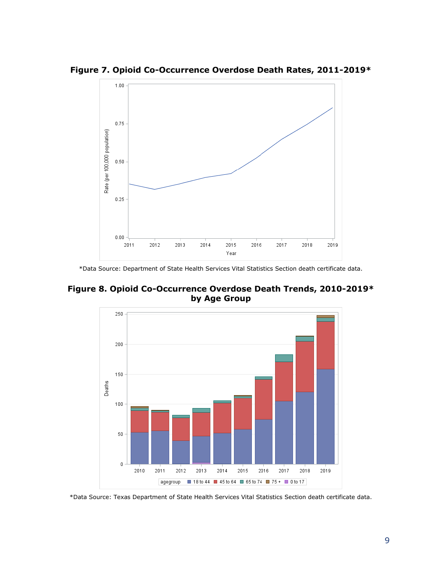

**Figure 7. Opioid Co-Occurrence Overdose Death Rates, 2011-2019\***

**Figure 8. Opioid Co-Occurrence Overdose Death Trends, 2010-2019\* by Age Group**

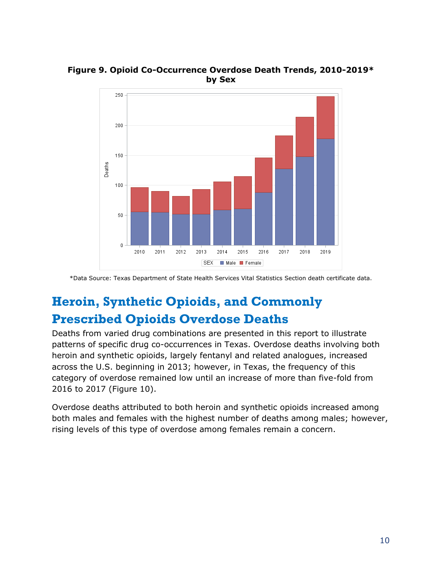

**Figure 9. Opioid Co-Occurrence Overdose Death Trends, 2010-2019\* by Sex**

# <span id="page-10-0"></span>**Heroin, Synthetic Opioids, and Commonly Prescribed Opioids Overdose Deaths**

Deaths from varied drug combinations are presented in this report to illustrate patterns of specific drug co-occurrences in Texas. Overdose deaths involving both heroin and synthetic opioids, largely fentanyl and related analogues, increased across the U.S. beginning in 2013; however, in Texas, the frequency of this category of overdose remained low until an increase of more than five-fold from 2016 to 2017 (Figure 10).

Overdose deaths attributed to both heroin and synthetic opioids increased among both males and females with the highest number of deaths among males; however, rising levels of this type of overdose among females remain a concern.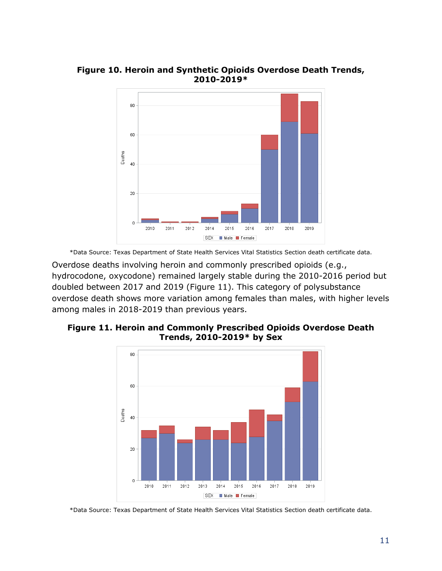

**Figure 10. Heroin and Synthetic Opioids Overdose Death Trends, 2010-2019\***

Overdose deaths involving heroin and commonly prescribed opioids (e.g., hydrocodone, oxycodone) remained largely stable during the 2010-2016 period but doubled between 2017 and 2019 (Figure 11). This category of polysubstance overdose death shows more variation among females than males, with higher levels among males in 2018-2019 than previous years.



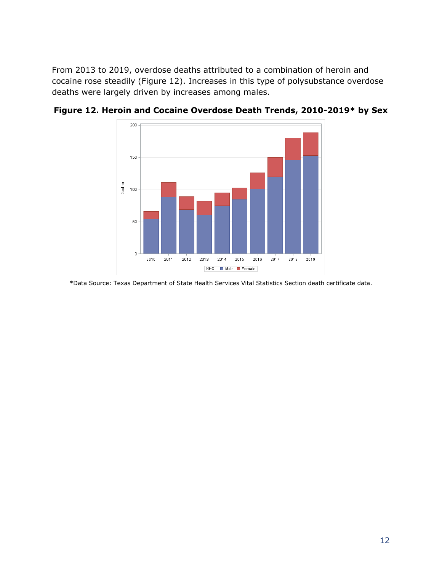From 2013 to 2019, overdose deaths attributed to a combination of heroin and cocaine rose steadily (Figure 12). Increases in this type of polysubstance overdose deaths were largely driven by increases among males.



**Figure 12. Heroin and Cocaine Overdose Death Trends, 2010-2019\* by Sex**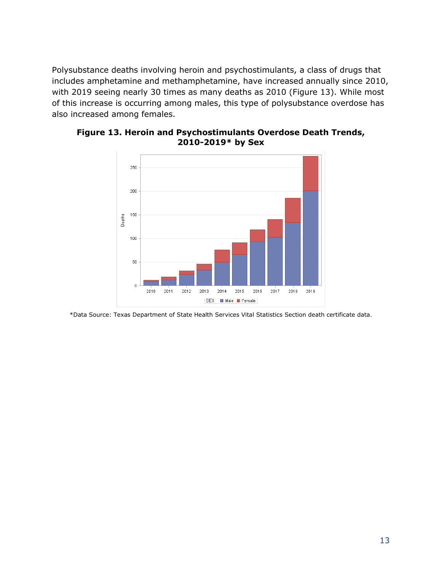Polysubstance deaths involving heroin and psychostimulants, a class of drugs that includes amphetamine and methamphetamine, have increased annually since 2010, with 2019 seeing nearly 30 times as many deaths as 2010 (Figure 13). While most of this increase is occurring among males, this type of polysubstance overdose has also increased among females.



**Figure 13. Heroin and Psychostimulants Overdose Death Trends, 2010-2019\* by Sex**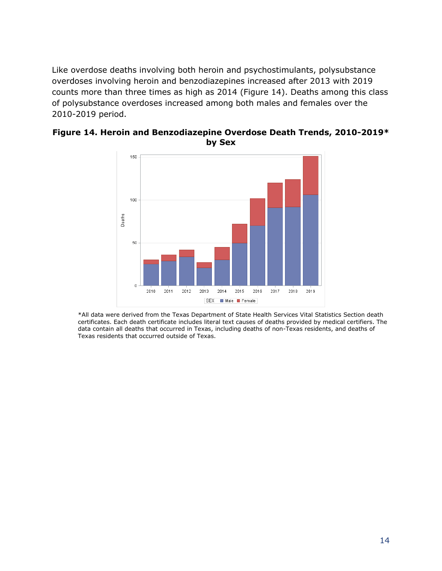Like overdose deaths involving both heroin and psychostimulants, polysubstance overdoses involving heroin and benzodiazepines increased after 2013 with 2019 counts more than three times as high as 2014 (Figure 14). Deaths among this class of polysubstance overdoses increased among both males and females over the 2010-2019 period.



**Figure 14. Heroin and Benzodiazepine Overdose Death Trends, 2010-2019\* by Sex**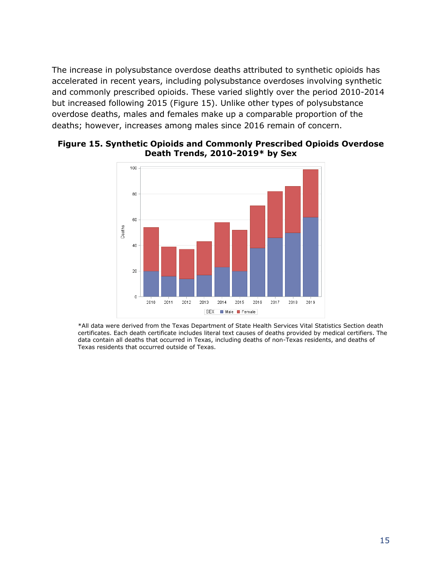The increase in polysubstance overdose deaths attributed to synthetic opioids has accelerated in recent years, including polysubstance overdoses involving synthetic and commonly prescribed opioids. These varied slightly over the period 2010-2014 but increased following 2015 (Figure 15). Unlike other types of polysubstance overdose deaths, males and females make up a comparable proportion of the deaths; however, increases among males since 2016 remain of concern.



#### **Figure 15. Synthetic Opioids and Commonly Prescribed Opioids Overdose Death Trends, 2010-2019\* by Sex**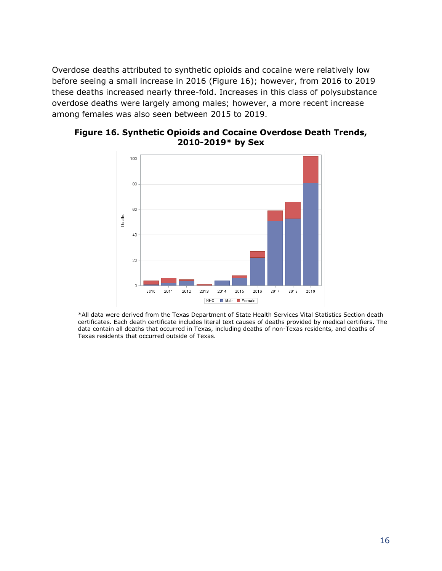Overdose deaths attributed to synthetic opioids and cocaine were relatively low before seeing a small increase in 2016 (Figure 16); however, from 2016 to 2019 these deaths increased nearly three-fold. Increases in this class of polysubstance overdose deaths were largely among males; however, a more recent increase among females was also seen between 2015 to 2019.



**Figure 16. Synthetic Opioids and Cocaine Overdose Death Trends, 2010-2019\* by Sex**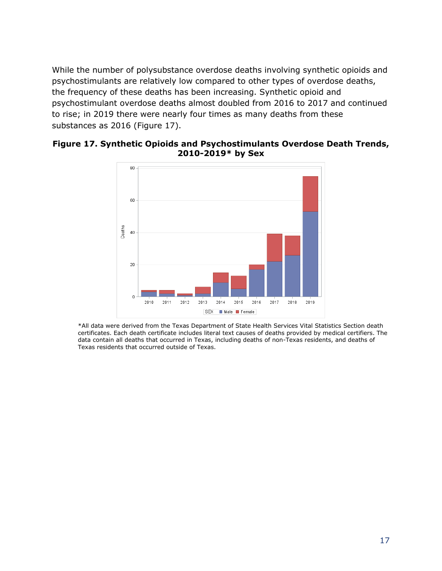While the number of polysubstance overdose deaths involving synthetic opioids and psychostimulants are relatively low compared to other types of overdose deaths, the frequency of these deaths has been increasing. Synthetic opioid and psychostimulant overdose deaths almost doubled from 2016 to 2017 and continued to rise; in 2019 there were nearly four times as many deaths from these substances as 2016 (Figure 17).

#### **Figure 17. Synthetic Opioids and Psychostimulants Overdose Death Trends, 2010-2019\* by Sex**

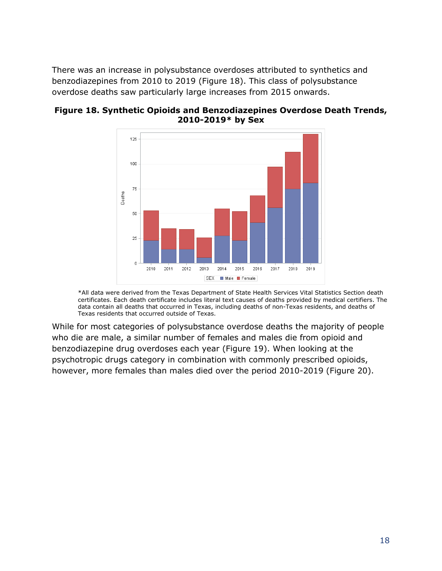There was an increase in polysubstance overdoses attributed to synthetics and benzodiazepines from 2010 to 2019 (Figure 18). This class of polysubstance overdose deaths saw particularly large increases from 2015 onwards.



**Figure 18. Synthetic Opioids and Benzodiazepines Overdose Death Trends, 2010-2019\* by Sex**

\*All data were derived from the Texas Department of State Health Services Vital Statistics Section death certificates. Each death certificate includes literal text causes of deaths provided by medical certifiers. The data contain all deaths that occurred in Texas, including deaths of non-Texas residents, and deaths of Texas residents that occurred outside of Texas.

While for most categories of polysubstance overdose deaths the majority of people who die are male, a similar number of females and males die from opioid and benzodiazepine drug overdoses each year (Figure 19). When looking at the psychotropic drugs category in combination with commonly prescribed opioids, however, more females than males died over the period 2010-2019 (Figure 20).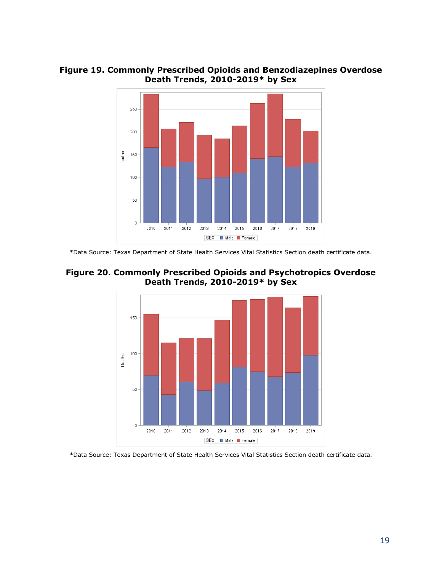



<sup>\*</sup>Data Source: Texas Department of State Health Services Vital Statistics Section death certificate data.



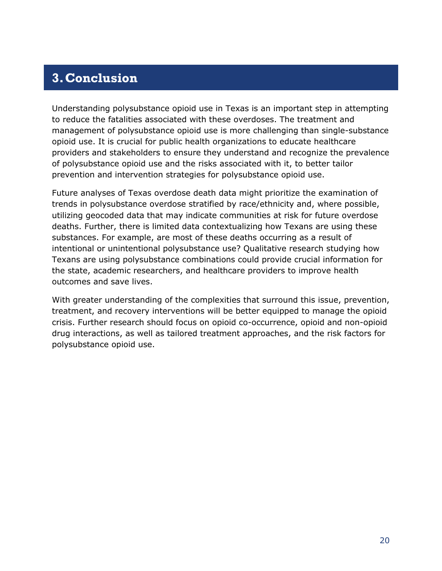# <span id="page-20-0"></span>**3.Conclusion**

Understanding polysubstance opioid use in Texas is an important step in attempting to reduce the fatalities associated with these overdoses. The treatment and management of polysubstance opioid use is more challenging than single-substance opioid use. It is crucial for public health organizations to educate healthcare providers and stakeholders to ensure they understand and recognize the prevalence of polysubstance opioid use and the risks associated with it, to better tailor prevention and intervention strategies for polysubstance opioid use.

Future analyses of Texas overdose death data might prioritize the examination of trends in polysubstance overdose stratified by race/ethnicity and, where possible, utilizing geocoded data that may indicate communities at risk for future overdose deaths. Further, there is limited data contextualizing how Texans are using these substances. For example, are most of these deaths occurring as a result of intentional or unintentional polysubstance use? Qualitative research studying how Texans are using polysubstance combinations could provide crucial information for the state, academic researchers, and healthcare providers to improve health outcomes and save lives.

With greater understanding of the complexities that surround this issue, prevention, treatment, and recovery interventions will be better equipped to manage the opioid crisis. Further research should focus on opioid co-occurrence, opioid and non-opioid drug interactions, as well as tailored treatment approaches, and the risk factors for polysubstance opioid use.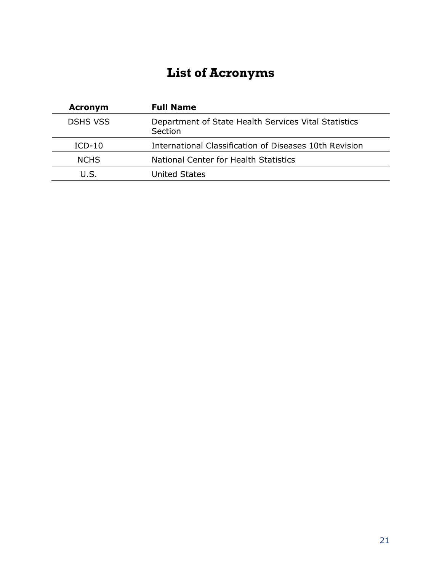# **List of Acronyms**

<span id="page-21-0"></span>

| <b>Acronym</b>  | <b>Full Name</b>                                                |
|-----------------|-----------------------------------------------------------------|
| <b>DSHS VSS</b> | Department of State Health Services Vital Statistics<br>Section |
| $ICD-10$        | International Classification of Diseases 10th Revision          |
| <b>NCHS</b>     | National Center for Health Statistics                           |
| U.S.            | United States                                                   |